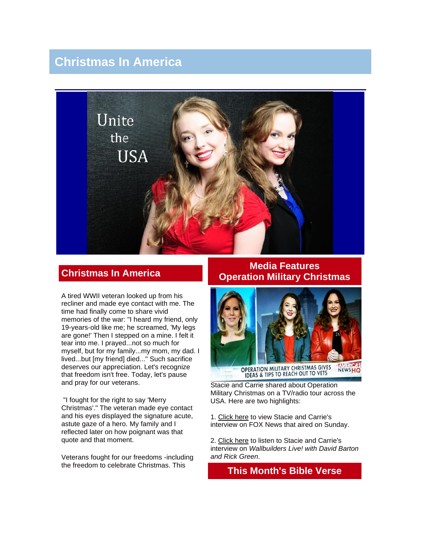# **Christmas In America**



## **Christmas In America**

A tired WWII veteran looked up from his recliner and made eye contact with me. The time had finally come to share vivid memories of the war: "I heard my friend, only 19-years-old like me; he screamed, 'My legs are gone!' Then I stepped on a mine. I felt it tear into me. I prayed...not so much for myself, but for my family...my mom, my dad. I lived...but [my friend] died..." Such sacrifice deserves our appreciation. Let's recognize that freedom isn't free. Today, let's pause and pray for our veterans.

"I fought for the right to say 'Merry Christmas'." The veteran made eye contact and his eyes displayed the signature acute, astute gaze of a hero. My family and I reflected later on how poignant was that quote and that moment.

Veterans fought for our freedoms -including the freedom to celebrate Christmas. This

### **Media Features Operation Military Christmas**



Stacie and Carrie shared about Operation Military Christmas on a TV/radio tour across the USA. Here are two highlights:

1. [Click here](http://video.foxnews.com/v/3955675775001#sp=show-clips) to view Stacie and Carrie's interview on FOX News that aired on Sunday.

2. [Click here](http://www.wallbuilderslive.com/listen.asp?cs=high&mf=mp3&fileName=WBLive2014-12-19) to listen to Stacie and Carrie's interview on *Wallbuilders Live! with David Barton and Rick Green*.

## **This Month's Bible Verse**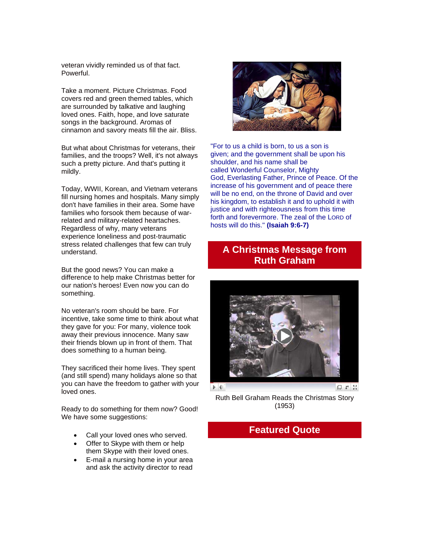veteran vividly reminded us of that fact. Powerful.

Take a moment. Picture Christmas. Food covers red and green themed tables, which are surrounded by talkative and laughing loved ones. Faith, hope, and love saturate songs in the background. Aromas of cinnamon and savory meats fill the air. Bliss.

But what about Christmas for veterans, their families, and the troops? Well, it's not always such a pretty picture. And that's putting it mildly.

Today, WWII, Korean, and Vietnam veterans fill nursing homes and hospitals. Many simply don't have families in their area. Some have families who forsook them because of warrelated and military-related heartaches. Regardless of why, many veterans experience loneliness and post-traumatic stress related challenges that few can truly understand.

But the good news? You can make a difference to help make Christmas better for our nation's heroes! Even now you can do something.

No veteran's room should be bare. For incentive, take some time to think about what they gave for you: For many, violence took away their previous innocence. Many saw their friends blown up in front of them. That does something to a human being.

They sacrificed their home lives. They spent (and still spend) many holidays alone so that you can have the freedom to gather with your loved ones.

Ready to do something for them now? Good! We have some suggestions:

- Call your loved ones who served.
- Offer to Skype with them or help them Skype with their loved ones.
- E-mail a nursing home in your area and ask the activity director to read



"For to us a child is born, to us a son is given; and the government shall be upon his shoulder, and his name shall be called Wonderful Counselor, Mighty God, Everlasting Father, Prince of Peace. Of the increase of his government and of peace there will be no end, on the throne of David and over his kingdom, to establish it and to uphold it with justice and with righteousness from this time forth and forevermore. The zeal of the LORD of hosts will do this." **(Isaiah 9:6-7)**

## **A Christmas Message from Ruth Graham**



Ruth Bell Graham Reads the Christmas Story (1953)

### **Featured Quote**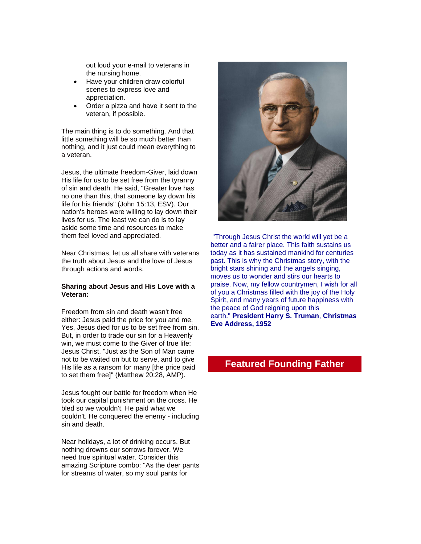out loud your e-mail to veterans in the nursing home.

- Have your children draw colorful scenes to express love and appreciation.
- Order a pizza and have it sent to the veteran, if possible.

The main thing is to do something. And that little something will be so much better than nothing, and it just could mean everything to a veteran.

Jesus, the ultimate freedom-Giver, laid down His life for us to be set free from the tyranny of sin and death. He said, "Greater love has no one than this, that someone lay down his life for his friends" (John 15:13, ESV). Our nation's heroes were willing to lay down their lives for us. The least we can do is to lay aside some time and resources to make them feel loved and appreciated.

Near Christmas, let us all share with veterans the truth about Jesus and the love of Jesus through actions and words.

#### **Sharing about Jesus and His Love with a Veteran:**

Freedom from sin and death wasn't free either: Jesus paid the price for you and me. Yes, Jesus died for us to be set free from sin. But, in order to trade our sin for a Heavenly win, we must come to the Giver of true life: Jesus Christ. "Just as the Son of Man came not to be waited on but to serve, and to give His life as a ransom for many [the price paid to set them free]" (Matthew 20:28, AMP).

Jesus fought our battle for freedom when He took our capital punishment on the cross. He bled so we wouldn't. He paid what we couldn't. He conquered the enemy - including sin and death.

Near holidays, a lot of drinking occurs. But nothing drowns our sorrows forever. We need true spiritual water. Consider this amazing Scripture combo: "As the deer pants for streams of water, so my soul pants for



"Through Jesus Christ the world will yet be a better and a fairer place. This faith sustains us today as it has sustained mankind for centuries past. This is why the Christmas story, with the bright stars shining and the angels singing, moves us to wonder and stirs our hearts to praise. Now, my fellow countrymen, I wish for all of you a Christmas filled with the joy of the Holy Spirit, and many years of future happiness with the peace of God reigning upon this earth." **President Harry S. Truman**, **Christmas Eve Address, 1952**

## **Featured Founding Father**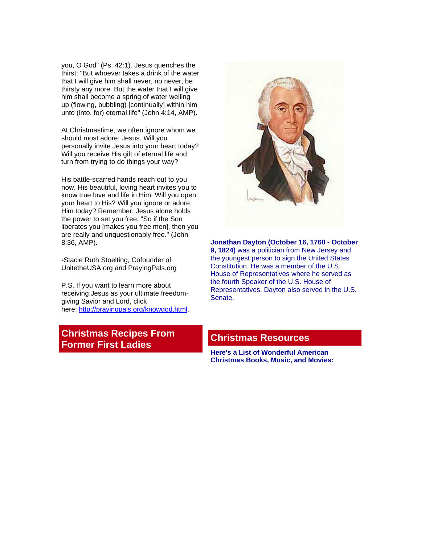you, O God" (Ps. 42:1). Jesus quenches the thirst: "But whoever takes a drink of the water that I will give him shall never, no never, be thirsty any more. But the water that I will give him shall become a spring of water welling up (flowing, bubbling) [continually] within him unto (into, for) eternal life" (John 4:14, AMP).

At Christmastime, we often ignore whom we should most adore: Jesus. Will you personally invite Jesus into your heart today? Will you receive His gift of eternal life and turn from trying to do things your way?

His battle-scarred hands reach out to you now. His beautiful, loving heart invites you to know true love and life in Him. Will you open your heart to His? Will you ignore or adore Him today? Remember: Jesus alone holds the power to set you free. "So if the Son liberates you [makes you free men], then you are really and unquestionably free." (John 8:36, AMP).

-Stacie Ruth Stoelting, Cofounder of UnitetheUSA.org and PrayingPals.org

P.S. If you want to learn more about receiving Jesus as your ultimate freedomgiving Savior and Lord, click here: http://prayingpals.org/knowgod.html

## **Christmas Recipes From Former First Ladies**

## **Christmas Resources**

**Here's a List of Wonderful American Christmas Books, Music, and Movies:**



**Jonathan Dayton (October 16, 1760 - October 9, 1824)** was a politician from New Jersey and the youngest person to sign the United States Constitution. He was a member of the U.S. House of Representatives where he served as the fourth Speaker of the U.S. House of Representatives. Dayton also served in the U.S. Senate.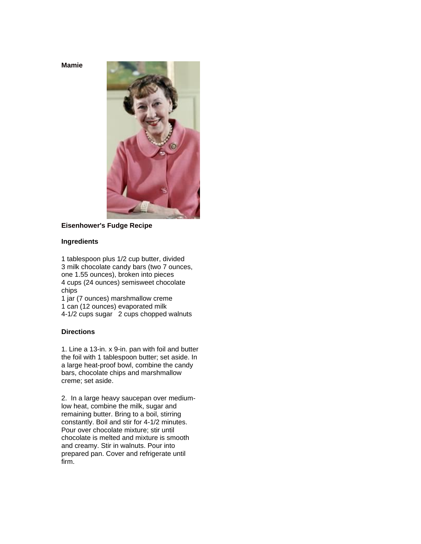**Mamie** 



#### **Eisenhower's Fudge Recipe**

#### **Ingredients**

1 tablespoon plus 1/2 cup butter, divided 3 milk chocolate candy bars (two 7 ounces, one 1.55 ounces), broken into pieces 4 cups (24 ounces) semisweet chocolate chips

1 jar (7 ounces) marshmallow creme

1 can (12 ounces) evaporated milk

4-1/2 cups sugar 2 cups chopped walnuts

#### **Directions**

1. Line a 13-in. x 9-in. pan with foil and butter the foil with 1 tablespoon butter; set aside. In a large heat-proof bowl, combine the candy bars, chocolate chips and marshmallow creme; set aside.

2. In a large heavy saucepan over mediumlow heat, combine the milk, sugar and remaining butter. Bring to a boil, stirring constantly. Boil and stir for 4-1/2 minutes. Pour over chocolate mixture; stir until chocolate is melted and mixture is smooth and creamy. Stir in walnuts. Pour into prepared pan. Cover and refrigerate until firm.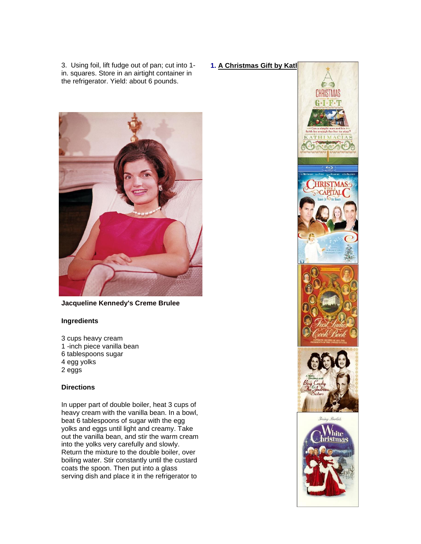3. Using foil, lift fudge out of pan; cut into 1 in. squares. Store in an airtight container in the refrigerator. Yield: about 6 pounds.

**1. A Christmas Gift by Katl** 



**Jacqueline Kennedy's Creme Brulee**

#### **Ingredients**

3 cups heavy cream 1 -inch piece vanilla bean 6 tablespoons sugar 4 egg yolks 2 eggs

#### **Directions**

In upper part of double boiler, heat 3 cups of heavy cream with the vanilla bean. In a bowl, beat 6 tablespoons of sugar with the egg yolks and eggs until light and creamy. Take out the vanilla bean, and stir the warm cream into the yolks very carefully and slowly. Return the mixture to the double boiler, over boiling water. Stir constantly until the custard coats the spoon. Then put into a glass serving dish and place it in the refrigerator to

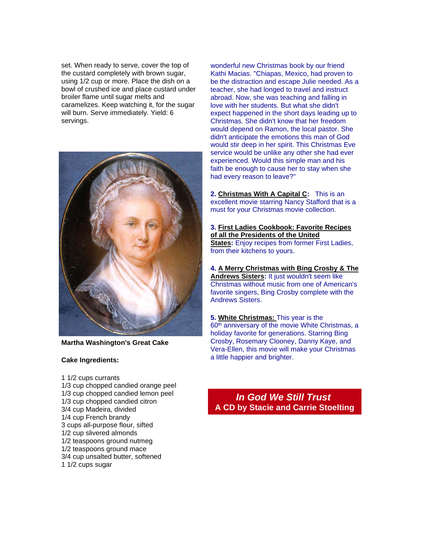set. When ready to serve, cover the top of the custard completely with brown sugar, using 1/2 cup or more. Place the dish on a bowl of crushed ice and place custard under broiler flame until sugar melts and caramelizes. Keep watching it, for the sugar will burn. Serve immediately. Yield: 6 servings.



**Martha Washington's Great Cake**

#### **Cake Ingredients:**

1 1/2 cups currants 1/3 cup chopped candied orange peel 1/3 cup chopped candied lemon peel 1/3 cup chopped candied citron 3/4 cup Madeira, divided 1/4 cup French brandy 3 cups all-purpose flour, sifted 1/2 cup slivered almonds 1/2 teaspoons ground nutmeg 1/2 teaspoons ground mace 3/4 cup unsalted butter, softened 1 1/2 cups sugar

wonderful new Christmas book by our friend Kathi Macias. "Chiapas, Mexico, had proven to be the distraction and escape Julie needed. As a teacher, she had longed to travel and instruct abroad. Now, she was teaching and falling in love with her students. But what she didn't expect happened in the short days leading up to Christmas. She didn't know that her freedom would depend on Ramon, the local pastor. She didn't anticipate the emotions this man of God would stir deep in her spirit. This Christmas Eve service would be unlike any other she had ever experienced. Would this simple man and his faith be enough to cause her to stay when she had every reason to leave?"

**2. [Christmas With A Capital C:](http://www.amazon.com/Christmas-Capital-C-Ted-McGinley/dp/B005BRFN8Q/ref=sr_1_1?s=movies-tv&ie=UTF8&qid=1419350095&sr=1-1&keywords=christmas+with+a+capital+c)** This is an excellent movie starring Nancy Stafford that is a must for your Christmas movie collection.

**3. [First Ladies Cookbook: Favorite Recipes](http://www.amazon.com/First-Ladies-Cookbook-Favorite-Presidents/dp/0939456036/ref=sr_1_1?ie=UTF8&qid=1419350054&sr=8-1&keywords=First+Ladies+Cookbook%3A+Favorite+Recipes+of+all+the+Presidents+of+the+United+States)  [of all the Presidents of the United](http://www.amazon.com/First-Ladies-Cookbook-Favorite-Presidents/dp/0939456036/ref=sr_1_1?ie=UTF8&qid=1419350054&sr=8-1&keywords=First+Ladies+Cookbook%3A+Favorite+Recipes+of+all+the+Presidents+of+the+United+States)  [States:](http://www.amazon.com/First-Ladies-Cookbook-Favorite-Presidents/dp/0939456036/ref=sr_1_1?ie=UTF8&qid=1419350054&sr=8-1&keywords=First+Ladies+Cookbook%3A+Favorite+Recipes+of+all+the+Presidents+of+the+United+States)** Enjoy recipes from former First Ladies. from their kitchens to yours.

**4. [A Merry Christmas with Bing Crosby & The](http://www.amazon.com/Merry-Christmas-Crosby-Andrews-Sisters/dp/B00004ZEJ1/ref=sr_1_1_twi_1?ie=UTF8&qid=1419349562&sr=8-1&keywords=A+Merry+Christmas+with+Bing+Crosby+%26+The+Andrews+Sisters)  [Andrews Sisters:](http://www.amazon.com/Merry-Christmas-Crosby-Andrews-Sisters/dp/B00004ZEJ1/ref=sr_1_1_twi_1?ie=UTF8&qid=1419349562&sr=8-1&keywords=A+Merry+Christmas+with+Bing+Crosby+%26+The+Andrews+Sisters)** It just wouldn't seem like Christmas without music from one of American's favorite singers, Bing Crosby complete with the Andrews Sisters.

**5. [White Christmas:](http://www.amazon.com/White-Christmas-Diamond-Anniversary-Crosby/dp/B00MMPB6R2/ref=tmm_dvd_title_0?_encoding=UTF8&sr=8-1&qid=1419350178)** This year is the 60<sup>th</sup> anniversary of the movie White Christmas, a holiday favorite for generations. Starring Bing Crosby, Rosemary Clooney, Danny Kaye, and Vera-Ellen, this movie will make your Christmas a little happier and brighter.

*In God We Still Trust* **A CD by Stacie and Carrie Stoelting**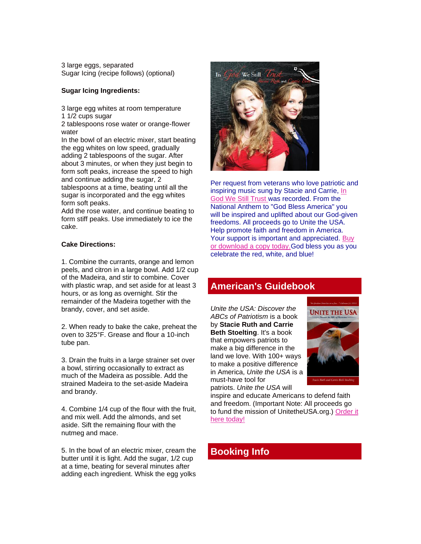3 large eggs, separated Sugar Icing (recipe follows) (optional)

#### **Sugar Icing Ingredients:**

3 large egg whites at room temperature 1 1/2 cups sugar

2 tablespoons rose water or orange-flower water

In the bowl of an electric mixer, start beating the egg whites on low speed, gradually adding 2 tablespoons of the sugar. After about 3 minutes, or when they just begin to form soft peaks, increase the speed to high and continue adding the sugar, 2 tablespoons at a time, beating until all the sugar is incorporated and the egg whites form soft peaks.

Add the rose water, and continue beating to form stiff peaks. Use immediately to ice the cake.

#### **Cake Directions:**

1. Combine the currants, orange and lemon peels, and citron in a large bowl. Add 1/2 cup of the Madeira, and stir to combine. Cover with plastic wrap, and set aside for at least 3 hours, or as long as overnight. Stir the remainder of the Madeira together with the brandy, cover, and set aside.

2. When ready to bake the cake, preheat the oven to 325°F. Grease and flour a 10-inch tube pan.

3. Drain the fruits in a large strainer set over a bowl, stirring occasionally to extract as much of the Madeira as possible. Add the strained Madeira to the set-aside Madeira and brandy.

4. Combine 1/4 cup of the flour with the fruit, and mix well. Add the almonds, and set aside. Sift the remaining flour with the nutmeg and mace.

5. In the bowl of an electric mixer, cream the butter until it is light. Add the sugar, 1/2 cup at a time, beating for several minutes after adding each ingredient. Whisk the egg yolks



Per request from veterans who love patriotic and inspiring music sung by Stacie and Carrie, [In](http://unitetheusa.org/id56.html)  [God We Still Trust](http://unitetheusa.org/id56.html) was recorded. From the National Anthem to "God Bless America" you will be inspired and uplifted about our God-given freedoms. All proceeds go to Unite the USA. Help promote faith and freedom in America. Your support is important and appreciated. Buy [or download a copy today.G](http://unitetheusa.org/id56.html)od bless you as you celebrate the red, white, and blue!

## **American's Guidebook**

*Unite the USA: Discover the ABCs of Patriotism* is a book by **Stacie Ruth and Carrie Beth Stoelting**. It's a book that empowers patriots to make a big difference in the land we love. With 100+ ways to make a positive difference in America, *Unite the USA* is a must-have tool for patriots. *Unite the USA* will



inspire and educate Americans to defend faith and freedom. (Important Note: All proceeds go to fund the mission of UnitetheUSA.org.) [Order it](http://unitetheusa.org/id56.html)  [here today!](http://unitetheusa.org/id56.html)

## **Booking Info**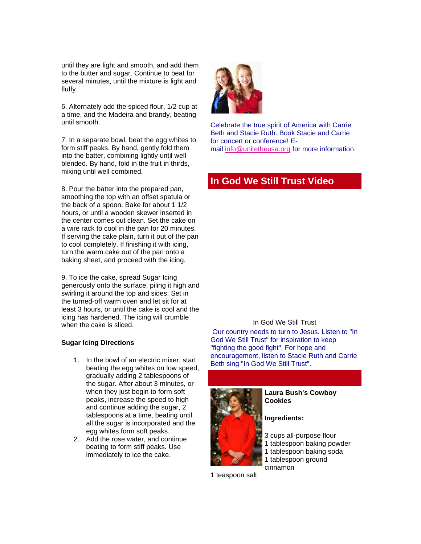until they are light and smooth, and add them to the butter and sugar. Continue to beat for several minutes, until the mixture is light and fluffy.

6. Alternately add the spiced flour, 1/2 cup at a time, and the Madeira and brandy, beating until smooth.

7. In a separate bowl, beat the egg whites to form stiff peaks. By hand, gently fold them into the batter, combining lightly until well blended. By hand, fold in the fruit in thirds, mixing until well combined.

8. Pour the batter into the prepared pan, smoothing the top with an offset spatula or the back of a spoon. Bake for about 1 1/2 hours, or until a wooden skewer inserted in the center comes out clean. Set the cake on a wire rack to cool in the pan for 20 minutes. If serving the cake plain, turn it out of the pan to cool completely. If finishing it with icing, turn the warm cake out of the pan onto a baking sheet, and proceed with the icing.

9. To ice the cake, spread Sugar Icing generously onto the surface, piling it high and swirling it around the top and sides. Set in the turned-off warm oven and let sit for at least 3 hours, or until the cake is cool and the icing has hardened. The icing will crumble when the cake is sliced.

#### **Sugar Icing Directions**

- 1. In the bowl of an electric mixer, start beating the egg whites on low speed, gradually adding 2 tablespoons of the sugar. After about 3 minutes, or when they just begin to form soft peaks, increase the speed to high and continue adding the sugar, 2 tablespoons at a time, beating until all the sugar is incorporated and the egg whites form soft peaks.
- 2. Add the rose water, and continue beating to form stiff peaks. Use immediately to ice the cake.



Celebrate the true spirit of America with Carrie Beth and Stacie Ruth. Book Stacie and Carrie for concert or conference! Email [info@unitetheusa.org](mailto:info@unitetheusa.org) for more information.

## **In God We Still Trust Video**

#### In God We Still Trust

Our country needs to turn to Jesus. Listen to "In God We Still Trust" for inspiration to keep "fighting the good fight". For hope and encouragement, listen to Stacie Ruth and Carrie Beth sing "In God We Still Trust".



#### **Laura Bush's Cowboy Cookies**

**Ingredients:**

- 3 cups all-purpose flour
- 1 tablespoon baking powder
- 1 tablespoon baking soda
- 1 tablespoon ground cinnamon

1 teaspoon salt